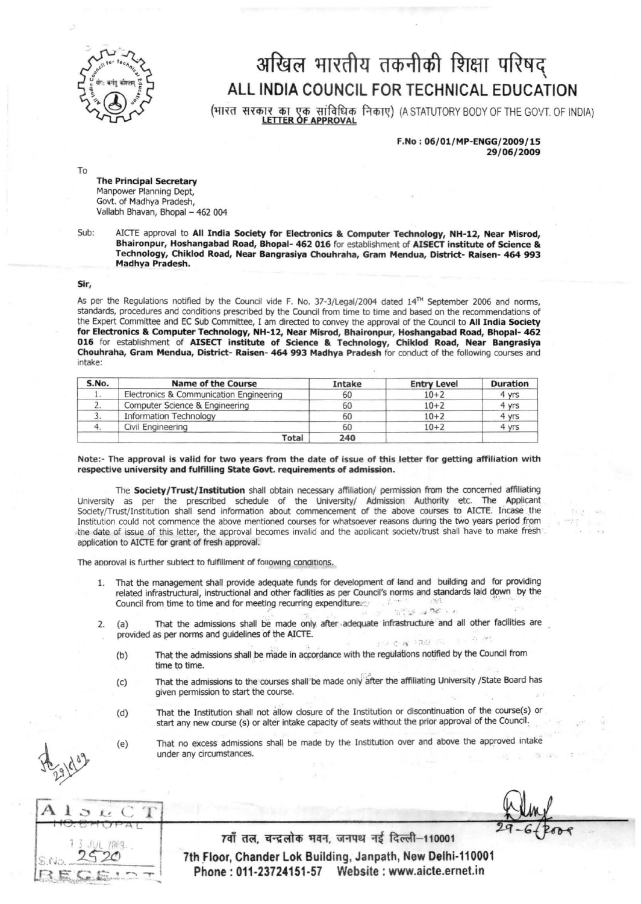

## अखिल भारतीय तकनीकी शिक्षा परिषद् ALL INDIA COUNCIL FOR TECHNICAL EDUCATION

(भारत सरकार का एक सांविधिक निकाए) (A STATUTORY BODY OF THE GOVT. OF INDIA)

f.No: 06/01/MP-ENGG/2009/15 29/06/2009

To

The Principal Secretary Manpower Planning Dept, Govt. of Madhya Pradesh, Vallabh Bhavan, Bhopal - 462 004

Sub: AICTE approval to All India Society for Electronics & Computer Technology, NH-12, Near Misrod, Bhaironpur, Hoshangabad Road, Bhopal- 462 016 for establishment of AISECT institute of Science & Technology, Chiklod Road, Near Bangrasiya Chouhraha, Gram Mendua, District- Raisen- 464 993 Madhya Pradesh.

Sir,

As per the Regulations notified by the Council vide F. No. 37-3/Legal/2004 dated 14<sup>TH</sup> September 2006 and norms, standards, procedures and conditions prescribed by the Council from time to time and based on the recommendations of the Expert Committee and EC Sub Committee, I am directed to convey the approval of the Council to All India Society for Electronics &. Computer Technologv, NH-12, Near Misrod, Bhaironpur, Hoshangabad Road, Bhopal- 462 016 for establishment of AISECT institute of Science & Technology, Chiklod Road, Near Bangrasiya Chouhraha, Gram Mendua, District- Raisen- 464 993 Madhya Pradesh for conduct of the following courses and intake:

| S.No. | <b>Name of the Course</b>               | Intake | <b>Entry Level</b> | <b>Duration</b> |
|-------|-----------------------------------------|--------|--------------------|-----------------|
|       | Electronics & Communication Engineering | 60     | $10 + 2$           | 4 yrs           |
|       | Computer Science & Engineering          | 60     | $10 + 2$           | 4 yrs           |
|       | <b>Information Technology</b>           | 60     | $10 + 2$           | 4 yrs           |
|       | Civil Engineering                       | 60     | $10 + 2$           | 4 yrs           |
|       | Total                                   | 240    |                    |                 |

## Note:- The approval is valid for two years from the date of issue of this letter for getting affiliation with respective university and fulfilling State Govt. requirements of admission.

The Society/Trust/Institution shall obtain necessary affiliation/ permission from the concerned affiliating University as per the prescribed sohedule of the University/ AdmiSSion Authority etc. The Applicant Sodety{Trust/lnstitution shall send information about commencement of the above courses to AICTE. Incase .the Institution could not commence the above mentioned courses for whatsoever reasons during the two years period from the date of issue of this letter, the approval becomes invalid and the applicant society/trust shall have to make fresh . application to A1CTE for grant of fresh approval.

The approval is further subiect to fulfillment of following conditions.

- 1. That the management shall provide adequate funds for development of land and building and for providing related infrastructural, instructional and other fadlities as per Council's norms and standards laid down by the Council from time to time and for meeting recurring expenditure...  $\sim$   $\sim$   $\sim$   $\sim$   $\sim$   $\sim$
- 2. (a) That the admissions shall be made only after adequate infrastructure and all other facilities are provided as per norms and guidelines of the A1CTE. .. .\_ . . :, <sup>~</sup>;1:.'
	- (b) That the admissions shall be made in accordance with the regulations notified by the Council from time to time.
	- (c) That the admissions to the courses shall be made only after the affiliating University /State Board has given permission to start the course.
	- (d) That the Institution shall not allow closure of the Institution or discontinuation of the course(s) or start any new course (s) or alter intake capacity of seats without the prior approval of the Council.
	- (e) That no excess admissions shall be made by the Institution over and above the approved intake under any circumstances.

 $\overline{CT}$  $A<sub>1</sub>$  $\Gamma$ 7009

7वाँ तल, चन्द्रलोक भवन, जनपथ नई दिल्ली-110001 7th Floor, Chander Lok Building, Janpath, New Delhi-110001 Phone: 011-23724151-57 Website: www.aicte.ernet.in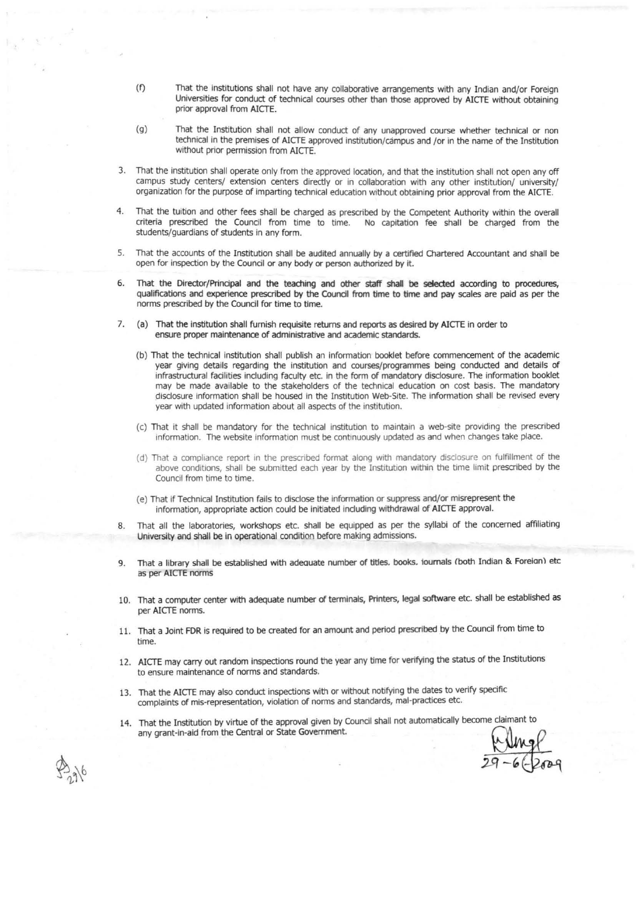- (f) That the institutions shall not have any collaborative arrangements with any Indian and/or Foreign Universities for conduct of technical courses other than those approved by AICTE without obtaining prior approval from AICTE.
- (g) That the Institution shall not allow conduct of any unapproved course whether technical or non technical in the premises of AlCTE approved institution/ campus and lor in the name of the Institution without prior permission from AICTE.
- 3. That the institution shall operate only from the approved location, and that the institution shall not open any off campus study centers/ extension centers directly or in collaboration with any other institution/ university/ organization for the purpose of imparting technical education without obtaining prior approval from the AICTE.
- 4. That the tuition and other fees shall be charged as prescribed by the Competent Authority within the overall criteria prescribed the Council from time to time. No capitation fee shall be charged from the students/guardians of students in any form.
- 5. That the accounts of the Institution shall be audited annually by a certified Olartered Accountant and shall be open for inspection by the Council or any body or person authorized by it.
- 6. That the Director/Principal and the teaching and other staff shall be selected according to procedures, qualifications and experience prescribed by the Council from time to time and pay scales are paid as per the norms prescribed by the Council for time to time.
- 7. (a) That the institution shall furnish requisite returns and reports as desired by AICTE in order to ensure proper maintenance of administrative and academic standards.
	- (b) That the technical institution shall publish an Information booklet before commencement of the academic year giving details regarding the institution and courses/programmes being conducted and details of infrastructural facilities including faculty etc. in the form of mandatory disclosure. The information booklet may be made available to the stakeholders of the technical education on cost basis. The mandatory disclosure information shall be housed in the Institution Web-Site. The information shall be revised every year with updated information about all aspects of the institution.
	- (c) That it shall be mandatory for the technical institution to maintain a web-site providing the prescribed information. The website information must be continuously updated as and when changes take place.
	- (d) That a compliance report in the prescribed format along with mandatory disclosure on fulfillment of the above conditions, shall be submitted each year by the Institution within the time limit prescribed by the Council from time to time.
	- (e) That if Technical Institution fails to disclose the information or suppress and/or misrepresent the information, appropriate action could be initiated including withdrawal of AICTE approval.
- 8. That all the laboratories, workshops etc. shall be equipped as per the syllabi of the concerned affiliating University and shall be in operational condition before making admissions.
- 9. That a library shall be established with adequate number of titles. books. iournals (both Indian & Foreian) etc as per AICTE norms
- 10. That a computer center with adequate number of terminals, Printers, legal software etc. shall be established as per AICTE norms.
- 11. That a Joint FDR is required to be created for an amount and period prescribed by the Council from time to time.
- 12. AICTE may carry out random inspections round the year any time for verifying the status of the Institutions to ensure maintenance of norms and standards.
- 13. That the AICTE may also conduct inspections with or without notifying the dates to verify specific complaints of mis-representation, violation of norms and standards, mal-practices etc.
- 14. That the Institution by virtue of the approval given by Council shall not automatically become claimant to Fractive High and Conduct inspections were or while the the typing complaints of mis-representation, violation of norms and standards, mal-practices etc.<br>That the Institution by virtue of the approval given by Council sha by Council shall not automatically become claimant to<br>the metal of  $\frac{m}{29-6}$